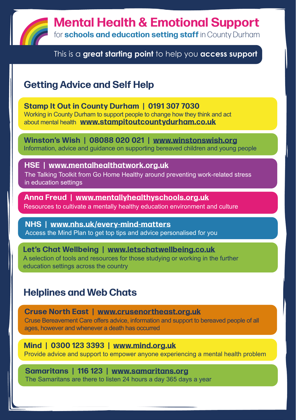

This is a **great starting point** to help you **access support**

## **Getting Advice and Self Help**

**Stamp It Out in County Durham | 0191 307 7030** Working in County Durham to support people to change how they think and act about mental health **[www.stampitoutcountydurham.co.uk](http://www.stampitoutcountydurham.co.uk)**

**Winston's Wish | 08088 020 021 | [www.winstonswish.org](http://www.winstonswish.org)** Information, advice and guidance on supporting bereaved children and young people

**HSE | [www.mentalhealthatwork.org.uk](http://www.mentalhealthatwork.org.uk)** The Talking Toolkit from Go Home Healthy around preventing work-related stress in education settings

**Anna Freud | [www.mentallyhealthyschools.org.uk](http://www.mentallyhealthyschools.org.uk/whole-school-approach/supporting-staff-wellbeing)** Resources to cultivate a mentally healthy education environment and culture

**NHS | [www.nhs.uk/every-mind-matters](http://www.nhs.uk/every-mind-matters)** Access the Mind Plan to get top tips and advice personalised for you

**Let's Chat Wellbeing | [www.letschatwellbeing.co.uk](http://www.letschatwellbeing.co.uk)**  A selection of tools and resources for those studying or working in the further education settings across the country

### **Helplines and Web Chats**

**Cruse North East | [www.crusenortheast.org.uk](http://www.crusenortheast.org.uk)**

Cruse Bereavement Care offers advice, information and support to bereaved people of all ages, however and whenever a death has occurred

**Mind | 0300 123 3393 | [www.mind.org.uk](http://www.mind.org.uk)** Provide advice and support to empower anyone experiencing a mental health problem

**Samaritans | 116 123 | [www.samaritans.org](http://www.samaritans.org)** The Samaritans are there to listen 24 hours a day 365 days a year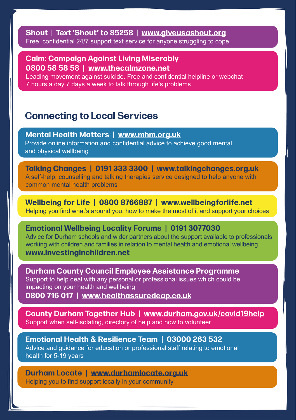**Shout** | **Text 'Shout' to 85258** | **[www.giveusashout.org](http://www.giveusashout.org)** Free, confidential 24/7 support text service for anyone struggling to cope

**Calm: Campaign Against Living Miserably 0800 58 58 58 | [www.thecalmzone.net](http://www.thecalmzone.net)**

Leading movement against suicide. Free and confidential helpline or webchat 7 hours a day 7 days a week to talk through life's problems

#### **Connecting to Local Services**

**Mental Health Matters | [www.mhm.org.uk](http://www.mhm.org.uk)** Provide online information and confidential advice to achieve good mental and physical wellbeing

**Talking Changes | 0191 333 3300 | [www.talkingchanges.org.uk](http://www.talkingchanges.org.uk)** A self-help, counselling and talking therapies service designed to help anyone with common mental health problems

**Wellbeing for Life | 0800 8766887 | [www.wellbeingforlife.net](http://www.wellbeingforlife.net)** Helping you find what's around you, how to make the most of it and support your choices

**Emotional Wellbeing Locality Forums | 0191 3077030** Advice for Durham schools and wider partners about the support available to professionals working with children and families in relation to mental health and emotional wellbeing **[www.investinginchildren.net](http://investinginchildren.net/listed-events-2/emotional-wellbeing-forum-updates/)**

**Durham County Council Employee Assistance Programme** Support to help deal with any personal or professional issues which could be impacting on your health and wellbeing **0800 716 017 | [www.healthassuredeap.co.uk](http://www.healthassuredeap.co.uk)**

**County Durham Together Hub | [www.durham.gov.uk/covid19help](http://www.durham.gov.uk/covid19help)** Support when self-isolating, directory of help and how to volunteer

**Emotional Health & Resilience Team | 03000 263 532** Advice and guidance for education or professional staff relating to emotional health for 5-19 years

**Durham Locate | w[ww.durhamlocate.org.uk](http://www.durhamlocate.org.uk)** Helping you to find support locally in your community